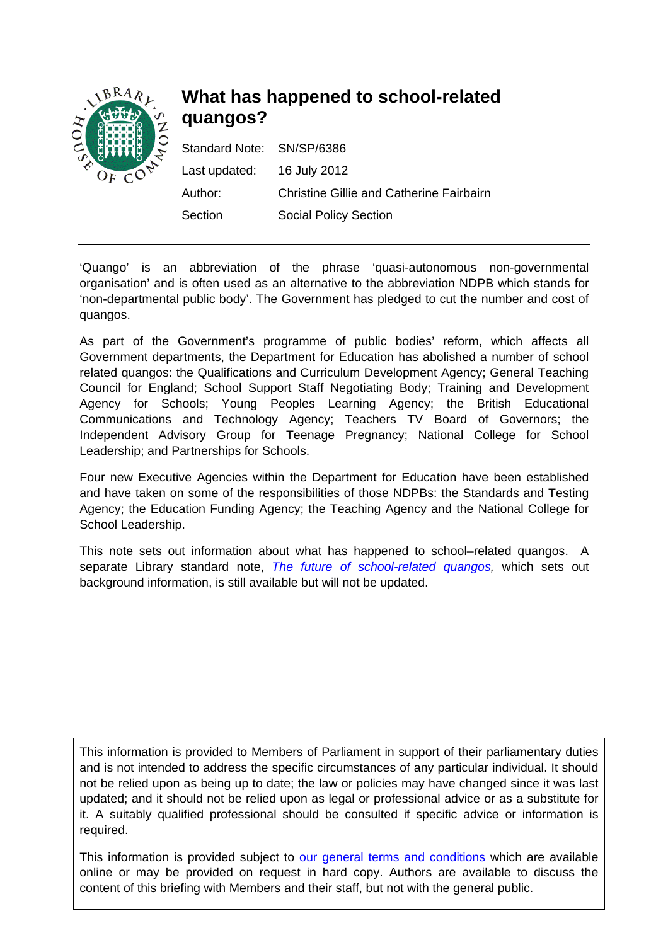

# **What has happened to school-related quangos?**

| Standard Note: SN/SP/6386  |                                          |
|----------------------------|------------------------------------------|
| Last updated: 16 July 2012 |                                          |
| Author:                    | Christine Gillie and Catherine Fairbairn |
| Section                    | <b>Social Policy Section</b>             |

'Quango' is an abbreviation of the phrase 'quasi-autonomous non-governmental organisation' and is often used as an alternative to the abbreviation NDPB which stands for 'non-departmental public body'. The Government has pledged to cut the number and cost of quangos.

As part of the Government's programme of public bodies' reform, which affects all Government departments, the Department for Education has abolished a number of school related quangos: the Qualifications and Curriculum Development Agency; General Teaching Council for England; School Support Staff Negotiating Body; Training and Development Agency for Schools; Young Peoples Learning Agency; the British Educational Communications and Technology Agency; Teachers TV Board of Governors; the Independent Advisory Group for Teenage Pregnancy; National College for School Leadership; and Partnerships for Schools.

Four new Executive Agencies within the Department for Education have been established and have taken on some of the responsibilities of those NDPBs: the Standards and Testing Agency; the Education Funding Agency; the Teaching Agency and the National College for School Leadership.

This note sets out information about what has happened to school–related quangos. A separate Library standard note, *[The future of school-related quangos](http://www.parliament.uk/briefing-papers/SN05766),* which sets out background information, is still available but will not be updated.

This information is provided to Members of Parliament in support of their parliamentary duties and is not intended to address the specific circumstances of any particular individual. It should not be relied upon as being up to date; the law or policies may have changed since it was last updated; and it should not be relied upon as legal or professional advice or as a substitute for it. A suitably qualified professional should be consulted if specific advice or information is required.

This information is provided subject to [our general terms and conditions](http://www.parliament.uk/site_information/parliamentary_copyright.cfm) which are available online or may be provided on request in hard copy. Authors are available to discuss the content of this briefing with Members and their staff, but not with the general public.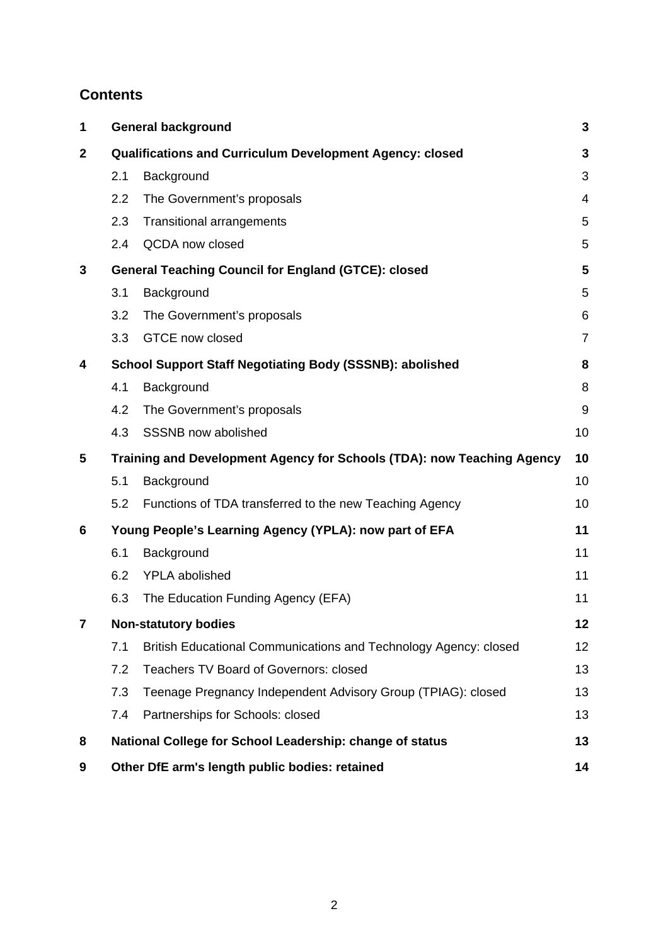# **Contents**

| 1            |                                                                        | <b>General background</b>                                        |                |
|--------------|------------------------------------------------------------------------|------------------------------------------------------------------|----------------|
| $\mathbf{2}$ | <b>Qualifications and Curriculum Development Agency: closed</b>        |                                                                  |                |
|              | 2.1                                                                    | Background                                                       | 3              |
|              | 2.2                                                                    | The Government's proposals                                       | $\overline{4}$ |
|              | 2.3                                                                    | <b>Transitional arrangements</b>                                 | 5              |
|              | 2.4                                                                    | <b>QCDA</b> now closed                                           | 5              |
| 3            | <b>General Teaching Council for England (GTCE): closed</b>             |                                                                  | 5              |
|              | 3.1                                                                    | Background                                                       | 5              |
|              | 3.2                                                                    | The Government's proposals                                       | 6              |
|              | 3.3                                                                    | GTCE now closed                                                  | $\overline{7}$ |
| 4            | <b>School Support Staff Negotiating Body (SSSNB): abolished</b>        |                                                                  | 8              |
|              | 4.1                                                                    | Background                                                       | 8              |
|              | 4.2                                                                    | The Government's proposals                                       | 9              |
|              | 4.3                                                                    | SSSNB now abolished                                              | 10             |
| 5            | Training and Development Agency for Schools (TDA): now Teaching Agency |                                                                  | 10             |
|              | 5.1                                                                    | Background                                                       | 10             |
|              | 5.2                                                                    | Functions of TDA transferred to the new Teaching Agency          | 10             |
| 6            | Young People's Learning Agency (YPLA): now part of EFA                 |                                                                  | 11             |
|              | 6.1                                                                    | Background                                                       | 11             |
|              | 6.2                                                                    | YPLA abolished                                                   | 11             |
|              | 6.3                                                                    | The Education Funding Agency (EFA)                               | 11             |
|              | <b>Non-statutory bodies</b>                                            |                                                                  | 12             |
|              | 7.1                                                                    | British Educational Communications and Technology Agency: closed | 12             |
|              | 7.2                                                                    | <b>Teachers TV Board of Governors: closed</b>                    | 13             |
|              | 7.3                                                                    | Teenage Pregnancy Independent Advisory Group (TPIAG): closed     | 13             |
|              | 7.4                                                                    | Partnerships for Schools: closed                                 | 13             |
| 8            | National College for School Leadership: change of status               |                                                                  | 13             |
| 9            | Other DfE arm's length public bodies: retained                         |                                                                  | 14             |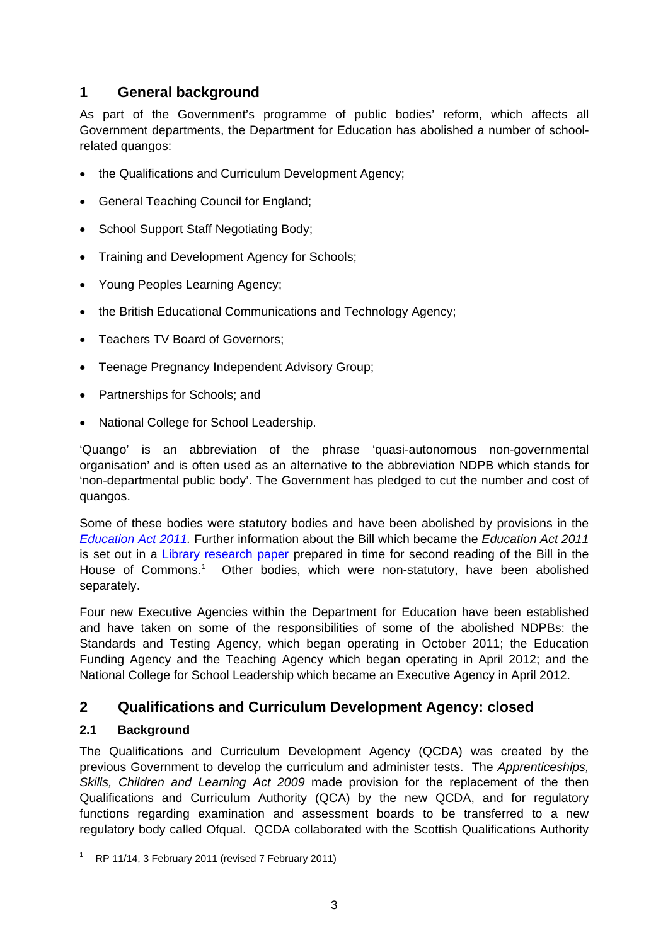# <span id="page-2-0"></span>**1 General background**

As part of the Government's programme of public bodies' reform, which affects all Government departments, the Department for Education has abolished a number of schoolrelated quangos:

- the Qualifications and Curriculum Development Agency:
- General Teaching Council for England;
- School Support Staff Negotiating Body;
- Training and Development Agency for Schools;
- Young Peoples Learning Agency;
- the British Educational Communications and Technology Agency;
- Teachers TV Board of Governors;
- Teenage Pregnancy Independent Advisory Group;
- Partnerships for Schools; and
- National College for School Leadership.

'Quango' is an abbreviation of the phrase 'quasi-autonomous non-governmental organisation' and is often used as an alternative to the abbreviation NDPB which stands for 'non-departmental public body'. The Government has pledged to cut the number and cost of quangos.

Some of these bodies were statutory bodies and have been abolished by provisions in the *[Education Act 2011.](http://www.legislation.gov.uk/ukpga/2011/21/contents/enacted)* Further information about the Bill which became the *Education Act 2011*  is set out in a [Library research paper](http://www.parliament.uk/briefing-papers/RP11-14) prepared in time for second reading of the Bill in the House of Commons.<sup>[1](#page-2-1)</sup> Other bodies, which were non-statutory, have been abolished separately.

Four new Executive Agencies within the Department for Education have been established and have taken on some of the responsibilities of some of the abolished NDPBs: the Standards and Testing Agency, which began operating in October 2011; the Education Funding Agency and the Teaching Agency which began operating in April 2012; and the National College for School Leadership which became an Executive Agency in April 2012.

# **2 Qualifications and Curriculum Development Agency: closed**

### **2.1 Background**

The Qualifications and Curriculum Development Agency (QCDA) was created by the previous Government to develop the curriculum and administer tests. The *Apprenticeships, Skills, Children and Learning Act 2009* made provision for the replacement of the then Qualifications and Curriculum Authority (QCA) by the new QCDA, and for regulatory functions regarding examination and assessment boards to be transferred to a new regulatory body called Ofqual. QCDA collaborated with the Scottish Qualifications Authority

<span id="page-2-1"></span><sup>1</sup> RP 11/14, 3 February 2011 (revised 7 February 2011)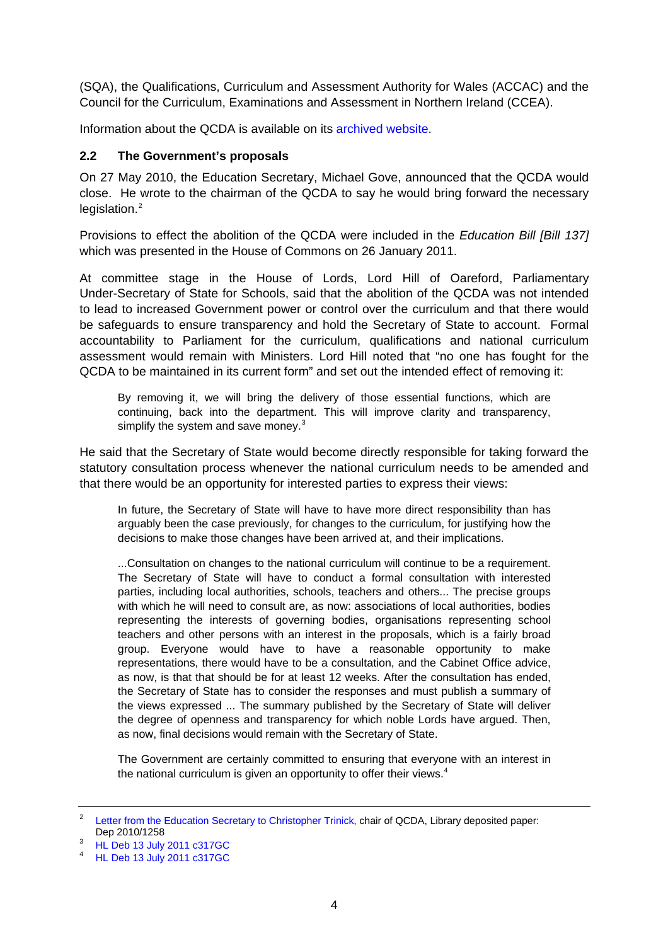<span id="page-3-0"></span>(SQA), the Qualifications, Curriculum and Assessment Authority for Wales (ACCAC) and the Council for the Curriculum, Examinations and Assessment in Northern Ireland (CCEA).

Information about the QCDA is available on its [archived website.](http://webarchive.nationalarchives.gov.uk/20110813032310/http:/www.qcda.gov.uk/)

### **2.2 The Government's proposals**

On 27 May 2010, the Education Secretary, Michael Gove, announced that the QCDA would close. He wrote to the chairman of the QCDA to say he would bring forward the necessary legislation.<sup>[2](#page-3-1)</sup>

Provisions to effect the abolition of the QCDA were included in the *Education Bill [Bill 137]*  which was presented in the House of Commons on 26 January 2011.

At committee stage in the House of Lords, Lord Hill of Oareford, Parliamentary Under-Secretary of State for Schools, said that the abolition of the QCDA was not intended to lead to increased Government power or control over the curriculum and that there would be safeguards to ensure transparency and hold the Secretary of State to account. Formal accountability to Parliament for the curriculum, qualifications and national curriculum assessment would remain with Ministers. Lord Hill noted that "no one has fought for the QCDA to be maintained in its current form" and set out the intended effect of removing it:

By removing it, we will bring the delivery of those essential functions, which are continuing, back into the department. This will improve clarity and transparency, simplify the system and save money. $3$ 

He said that the Secretary of State would become directly responsible for taking forward the statutory consultation process whenever the national curriculum needs to be amended and that there would be an opportunity for interested parties to express their views:

In future, the Secretary of State will have to have more direct responsibility than has arguably been the case previously, for changes to the curriculum, for justifying how the decisions to make those changes have been arrived at, and their implications.

...Consultation on changes to the national curriculum will continue to be a requirement. The Secretary of State will have to conduct a formal consultation with interested parties, including local authorities, schools, teachers and others... The precise groups with which he will need to consult are, as now: associations of local authorities, bodies representing the interests of governing bodies, organisations representing school teachers and other persons with an interest in the proposals, which is a fairly broad group. Everyone would have to have a reasonable opportunity to make representations, there would have to be a consultation, and the Cabinet Office advice, as now, is that that should be for at least 12 weeks. After the consultation has ended, the Secretary of State has to consider the responses and must publish a summary of the views expressed ... The summary published by the Secretary of State will deliver the degree of openness and transparency for which noble Lords have argued. Then, as now, final decisions would remain with the Secretary of State.

The Government are certainly committed to ensuring that everyone with an interest in the national curriculum is given an opportunity to offer their views. $4$ 

<span id="page-3-1"></span><sup>2</sup> [Letter from the Education Secretary to Christopher Trinick](http://media.education.gov.uk/assets/files/pdf/m/michael%20gove%20letter%20to%20qcda%20%20%2022%20may%202010.pdf), chair of QCDA, Library deposited paper: Dep 2010/1258

<span id="page-3-2"></span>[HL Deb 13 July 2011 c317GC](http://www.publications.parliament.uk/pa/ld201011/ldhansrd/text/110713-gc0001.htm#11071377000069)

<span id="page-3-3"></span><sup>4</sup> [HL Deb 13 July 2011 c317GC](http://www.publications.parliament.uk/pa/ld201011/ldhansrd/text/110713-gc0001.htm#11071377000069)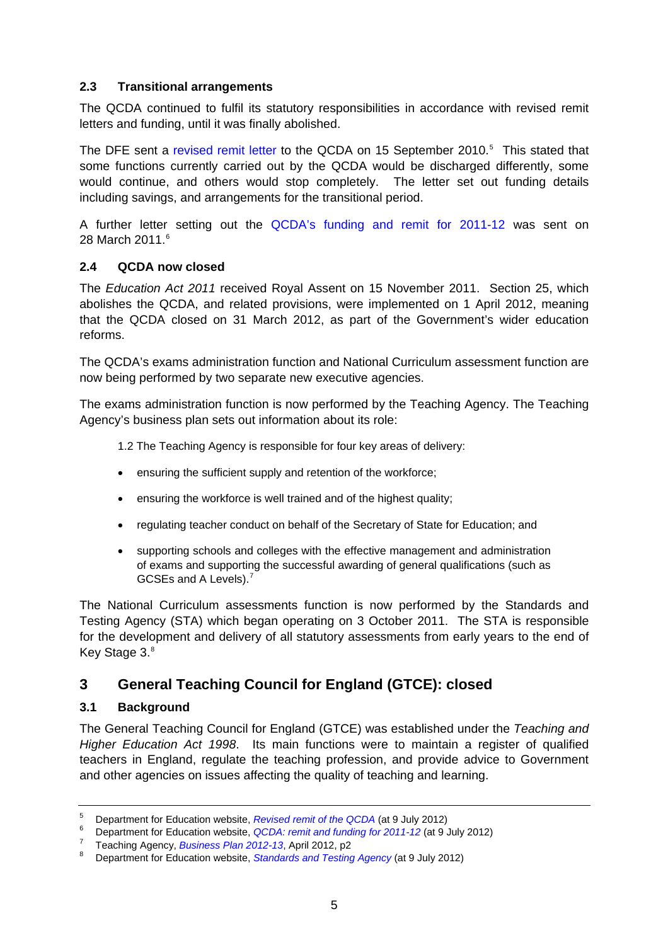### <span id="page-4-0"></span>**2.3 Transitional arrangements**

The QCDA continued to fulfil its statutory responsibilities in accordance with revised remit letters and funding, until it was finally abolished.

The DFE sent a [revised remit letter](http://media.education.gov.uk/assets/files/pdf/m/michael%20goves%20letter%20to%20qcda.pdf) to the QCDA on 1[5](#page-4-1) September 2010.<sup>5</sup> This stated that some functions currently carried out by the QCDA would be discharged differently, some would continue, and others would stop completely. The letter set out funding details including savings, and arrangements for the transitional period.

A further letter setting out the [QCDA's funding and remit for 2011-12](http://media.education.gov.uk/assets/files/pdf/l/letter%20to%20qcda%20-%2028%20march%202011.pdf) was sent on 28 March 2011.<sup>[6](#page-4-2)</sup>

### **2.4 QCDA now closed**

The *Education Act 2011* received Royal Assent on 15 November 2011. Section 25, which abolishes the QCDA, and related provisions, were implemented on 1 April 2012, meaning that the QCDA closed on 31 March 2012, as part of the Government's wider education reforms.

The QCDA's exams administration function and National Curriculum assessment function are now being performed by two separate new executive agencies.

The exams administration function is now performed by the Teaching Agency. The Teaching Agency's business plan sets out information about its role:

1.2 The Teaching Agency is responsible for four key areas of delivery:

- ensuring the sufficient supply and retention of the workforce;
- ensuring the workforce is well trained and of the highest quality;
- regulating teacher conduct on behalf of the Secretary of State for Education; and
- supporting schools and colleges with the effective management and administration of exams and supporting the successful awarding of general qualifications (such as GCSEs and A Levels). $<sup>7</sup>$  $<sup>7</sup>$  $<sup>7</sup>$ </sup>

The National Curriculum assessments function is now performed by the Standards and Testing Agency (STA) which began operating on 3 October 2011. The STA is responsible for the development and delivery of all statutory assessments from early years to the end of Key Stage 3.<sup>[8](#page-4-4)</sup>

# **3 General Teaching Council for England (GTCE): closed**

#### **3.1 Background**

The General Teaching Council for England (GTCE) was established under the *Teaching and Higher Education Act 1998*. Its main functions were to maintain a register of qualified teachers in England, regulate the teaching profession, and provide advice to Government and other agencies on issues affecting the quality of teaching and learning.

<span id="page-4-1"></span><sup>5</sup> Pepartment for Education website, *Revised remit of the QCDA* (at 9 July 2012)<br><sup>6</sup> Department for Education website, *QCDA* remit and funding for 2011, 12 (at 0 J

<sup>&</sup>lt;sup>b</sup> Department for Education website, *QCDA: remit and funding for 2011-12* (at 9 July 2012) 7<br><sup>7</sup> Teaching Ageney, *Buginese Blon 2012-12*, April 2012, p2

<span id="page-4-2"></span>Teaching Agency, *Business Plan 2012-13*, April 2012, p2<sup>8</sup> Department for Education website. Standards and Teating

<span id="page-4-4"></span><span id="page-4-3"></span>Department for Education website, *[Standards and Testing Agency](http://www.education.gov.uk/inthenews/inthenews/a00198081/standards-and-testing-agency)* (at 9 July 2012)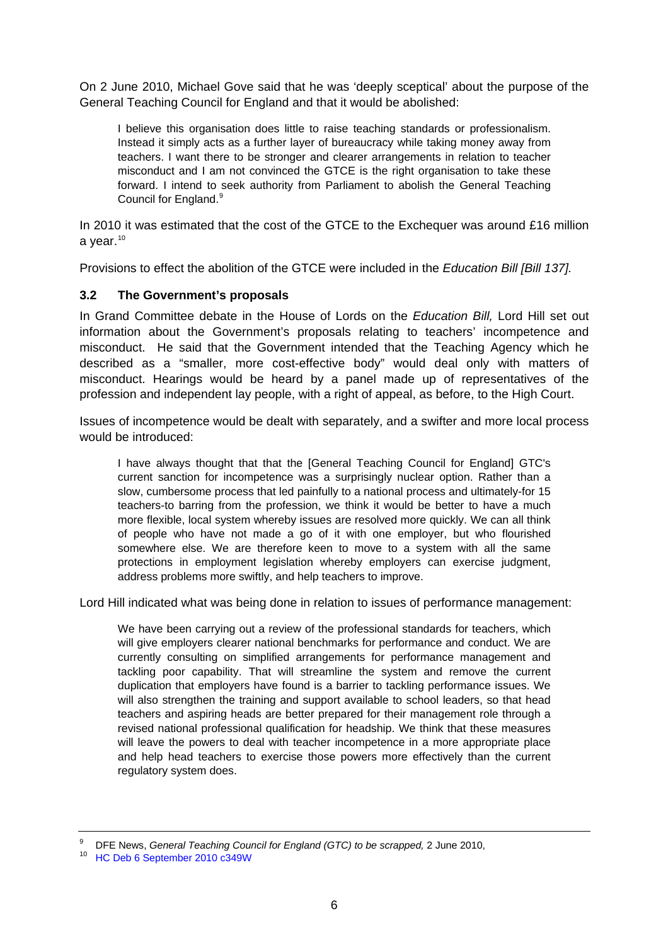<span id="page-5-0"></span>On 2 June 2010, Michael Gove said that he was 'deeply sceptical' about the purpose of the General Teaching Council for England and that it would be abolished:

I believe this organisation does little to raise teaching standards or professionalism. Instead it simply acts as a further layer of bureaucracy while taking money away from teachers. I want there to be stronger and clearer arrangements in relation to teacher misconduct and I am not convinced the GTCE is the right organisation to take these forward. I intend to seek authority from Parliament to abolish the General Teaching Council for England.<sup>[9](#page-5-1)</sup>

In 2010 it was estimated that the cost of the GTCE to the Exchequer was around £16 million a vear. $10$ 

Provisions to effect the abolition of the GTCE were included in the *Education Bill [Bill 137].*

### **3.2 The Government's proposals**

In Grand Committee debate in the House of Lords on the *Education Bill,* Lord Hill set out information about the Government's proposals relating to teachers' incompetence and misconduct. He said that the Government intended that the Teaching Agency which he described as a "smaller, more cost-effective body" would deal only with matters of misconduct. Hearings would be heard by a panel made up of representatives of the profession and independent lay people, with a right of appeal, as before, to the High Court.

Issues of incompetence would be dealt with separately, and a swifter and more local process would be introduced:

I have always thought that that the [General Teaching Council for England] GTC's current sanction for incompetence was a surprisingly nuclear option. Rather than a slow, cumbersome process that led painfully to a national process and ultimately-for 15 teachers-to barring from the profession, we think it would be better to have a much more flexible, local system whereby issues are resolved more quickly. We can all think of people who have not made a go of it with one employer, but who flourished somewhere else. We are therefore keen to move to a system with all the same protections in employment legislation whereby employers can exercise judgment, address problems more swiftly, and help teachers to improve.

Lord Hill indicated what was being done in relation to issues of performance management:

We have been carrying out a review of the professional standards for teachers, which will give employers clearer national benchmarks for performance and conduct. We are currently consulting on simplified arrangements for performance management and tackling poor capability. That will streamline the system and remove the current duplication that employers have found is a barrier to tackling performance issues. We will also strengthen the training and support available to school leaders, so that head teachers and aspiring heads are better prepared for their management role through a revised national professional qualification for headship. We think that these measures will leave the powers to deal with teacher incompetence in a more appropriate place and help head teachers to exercise those powers more effectively than the current regulatory system does.

<span id="page-5-2"></span><span id="page-5-1"></span><sup>9</sup> <sup>9</sup> DFE News, *General Teaching Council for England (GTC) to be scrapped, 2 June 2010,* 10 [HC Deb 6 September 2010 c349W](http://www.publications.parliament.uk/pa/cm201011/cmhansrd/cm100906/text/100906w0013.htm#10090816000212)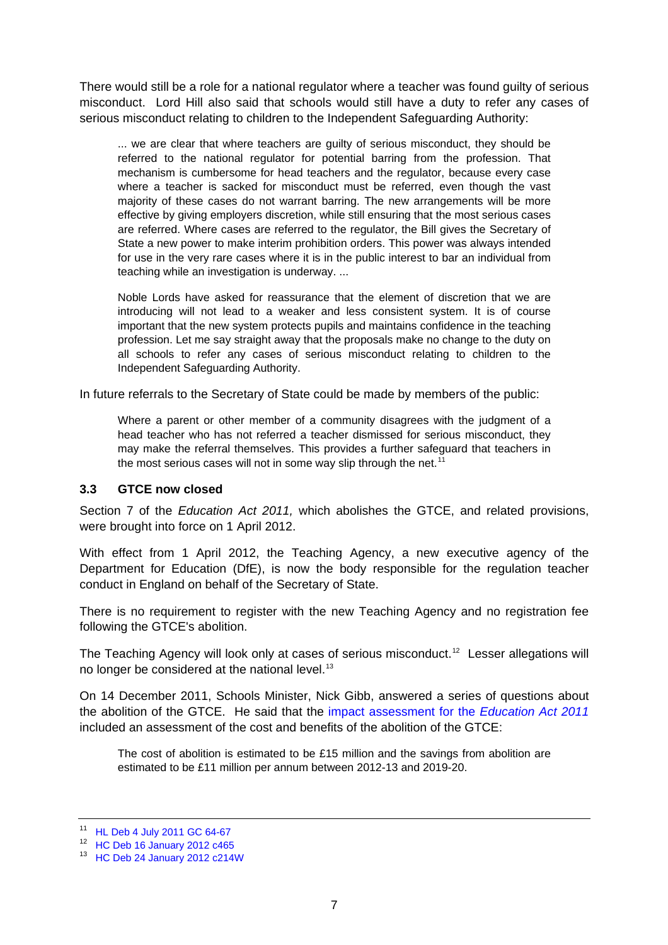<span id="page-6-0"></span>There would still be a role for a national regulator where a teacher was found guilty of serious misconduct. Lord Hill also said that schools would still have a duty to refer any cases of serious misconduct relating to children to the Independent Safeguarding Authority:

... we are clear that where teachers are guilty of serious misconduct, they should be referred to the national regulator for potential barring from the profession. That mechanism is cumbersome for head teachers and the regulator, because every case where a teacher is sacked for misconduct must be referred, even though the vast majority of these cases do not warrant barring. The new arrangements will be more effective by giving employers discretion, while still ensuring that the most serious cases are referred. Where cases are referred to the regulator, the Bill gives the Secretary of State a new power to make interim prohibition orders. This power was always intended for use in the very rare cases where it is in the public interest to bar an individual from teaching while an investigation is underway. ...

Noble Lords have asked for reassurance that the element of discretion that we are introducing will not lead to a weaker and less consistent system. It is of course important that the new system protects pupils and maintains confidence in the teaching profession. Let me say straight away that the proposals make no change to the duty on all schools to refer any cases of serious misconduct relating to children to the Independent Safeguarding Authority.

In future referrals to the Secretary of State could be made by members of the public:

Where a parent or other member of a community disagrees with the judgment of a head teacher who has not referred a teacher dismissed for serious misconduct, they may make the referral themselves. This provides a further safeguard that teachers in the most serious cases will not in some way slip through the net.<sup>[11](#page-6-1)</sup>

#### **3.3 GTCE now closed**

Section 7 of the *Education Act 2011,* which abolishes the GTCE, and related provisions, were brought into force on 1 April 2012.

With effect from 1 April 2012, the Teaching Agency, a new executive agency of the Department for Education (DfE), is now the body responsible for the regulation teacher conduct in England on behalf of the Secretary of State.

There is no requirement to register with the new Teaching Agency and no registration fee following the GTCE's abolition.

The Teaching Agency will look only at cases of serious misconduct.<sup>[12](#page-6-2)</sup> Lesser allegations will no longer be considered at the national level.<sup>[13](#page-6-3)</sup>

On 14 December 2011, Schools Minister, Nick Gibb, answered a series of questions about the abolition of the GTCE. He said that the [impact assessment for the](http://media.education.gov.uk/assets/files/pdf/h/education%20bill%20%20%20impact%20assessment%20ia.pdf) *Education Act 2011* included an assessment of the cost and benefits of the abolition of the GTCE:

The cost of abolition is estimated to be £15 million and the savings from abolition are estimated to be £11 million per annum between 2012-13 and 2019-20.

<span id="page-6-1"></span><sup>11</sup> [HL Deb 4 July 2011 GC 64-67](http://www.publications.parliament.uk/pa/ld201011/ldhansrd/text/110704-gc0002.htm#1107051000045)

<span id="page-6-2"></span><sup>12</sup> [HC Deb 16 January 2012 c465](http://www.publications.parliament.uk/pa/cm201212/cmhansrd/cm120116/debtext/120116-0001.htm#12011623000130)

<span id="page-6-3"></span><sup>13</sup> [HC Deb 24 January 2012 c214W](http://www.publications.parliament.uk/pa/cm201212/cmhansrd/cm120124/text/120124w0003.htm#12012473000413)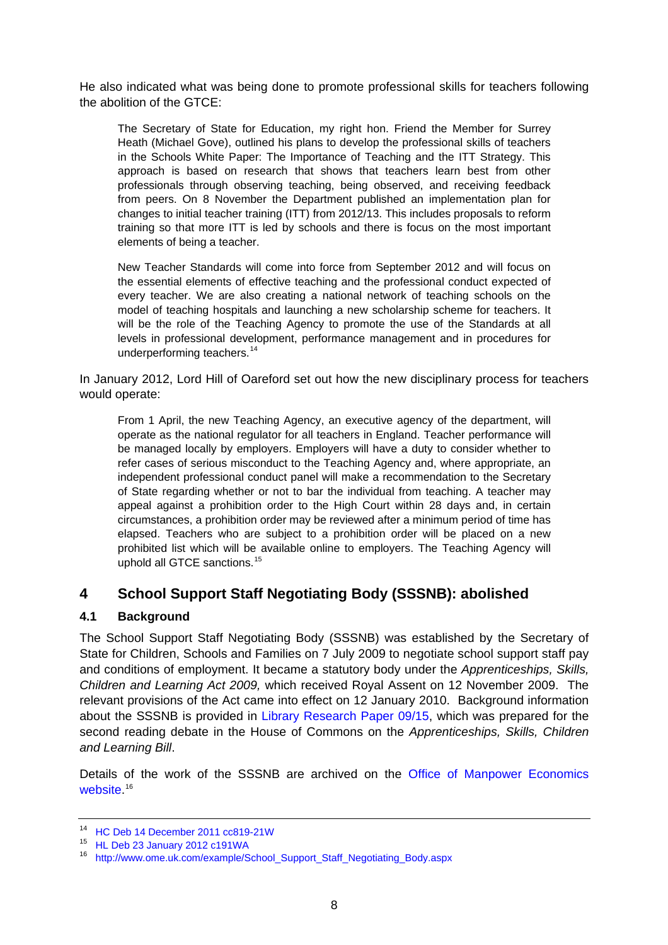<span id="page-7-0"></span>He also indicated what was being done to promote professional skills for teachers following the abolition of the GTCE:

The Secretary of State for Education, my right hon. Friend the Member for Surrey Heath (Michael Gove), outlined his plans to develop the professional skills of teachers in the Schools White Paper: The Importance of Teaching and the ITT Strategy. This approach is based on research that shows that teachers learn best from other professionals through observing teaching, being observed, and receiving feedback from peers. On 8 November the Department published an implementation plan for changes to initial teacher training (ITT) from 2012/13. This includes proposals to reform training so that more ITT is led by schools and there is focus on the most important elements of being a teacher.

New Teacher Standards will come into force from September 2012 and will focus on the essential elements of effective teaching and the professional conduct expected of every teacher. We are also creating a national network of teaching schools on the model of teaching hospitals and launching a new scholarship scheme for teachers. It will be the role of the Teaching Agency to promote the use of the Standards at all levels in professional development, performance management and in procedures for underperforming teachers.<sup>[14](#page-7-1)</sup>

In January 2012, Lord Hill of Oareford set out how the new disciplinary process for teachers would operate:

From 1 April, the new Teaching Agency, an executive agency of the department, will operate as the national regulator for all teachers in England. Teacher performance will be managed locally by employers. Employers will have a duty to consider whether to refer cases of serious misconduct to the Teaching Agency and, where appropriate, an independent professional conduct panel will make a recommendation to the Secretary of State regarding whether or not to bar the individual from teaching. A teacher may appeal against a prohibition order to the High Court within 28 days and, in certain circumstances, a prohibition order may be reviewed after a minimum period of time has elapsed. Teachers who are subject to a prohibition order will be placed on a new prohibited list which will be available online to employers. The Teaching Agency will uphold all GTCE sanctions.<sup>[15](#page-7-2)</sup>

### **4 School Support Staff Negotiating Body (SSSNB): abolished**

### **4.1 Background**

The School Support Staff Negotiating Body (SSSNB) was established by the Secretary of State for Children, Schools and Families on 7 July 2009 to negotiate school support staff pay and conditions of employment. It became a statutory body under the *Apprenticeships, Skills, Children and Learning Act 2009,* which received Royal Assent on 12 November 2009. The relevant provisions of the Act came into effect on 12 January 2010. Background information about the SSSNB is provided in [Library Research Paper 09/15](http://intranet.parliament.uk/briefing-papers/RP09-15), which was prepared for the second reading debate in the House of Commons on the *Apprenticeships, Skills, Children and Learning Bill*.

Details of the work of the SSSNB are archived on the [Office of Manpower Economics](http://www.ome.uk.com/example/School_Support_Staff_Negotiating_Body.aspx)  [website](http://www.ome.uk.com/example/School_Support_Staff_Negotiating_Body.aspx). [16](#page-7-3)

<span id="page-7-1"></span><sup>14</sup> [HC Deb 14 December 2011 cc819-21W](http://www.publications.parliament.uk/pa/cm201011/cmhansrd/cm111214/text/111214w0002.htm#11121497001172)

<span id="page-7-2"></span><sup>15</sup> [HL Deb 23 January 2012 c191WA](http://www.publications.parliament.uk/pa/ld201212/ldhansrd/text/120123w0001.htm#12012320000810)

<span id="page-7-3"></span><sup>16</sup> [http://www.ome.uk.com/example/School\\_Support\\_Staff\\_Negotiating\\_Body.aspx](http://www.ome.uk.com/example/School_Support_Staff_Negotiating_Body.aspx)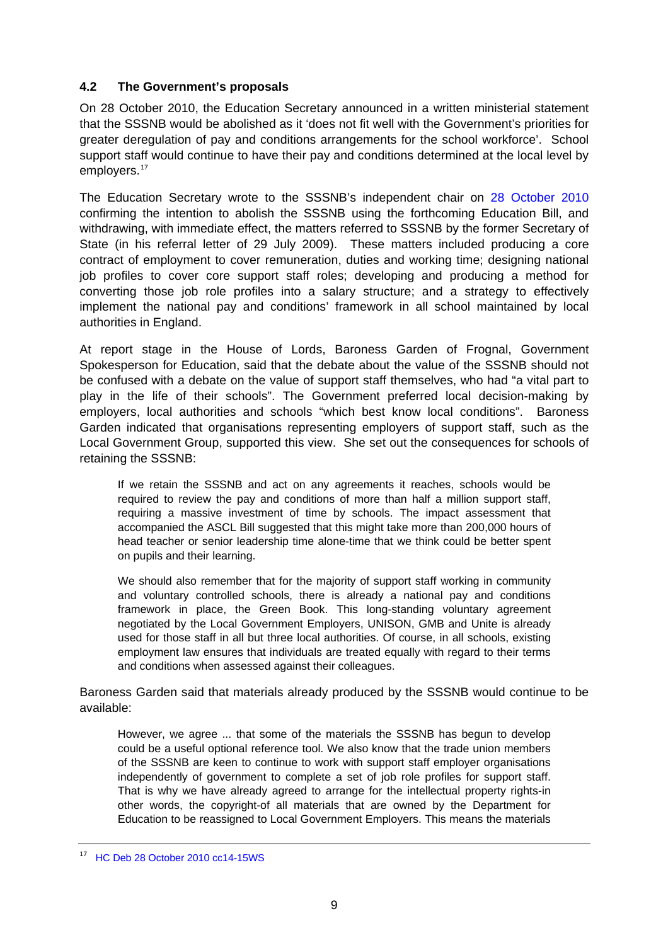### <span id="page-8-0"></span>**4.2 The Government's proposals**

On 28 October 2010, the Education Secretary announced in a written ministerial statement that the SSSNB would be abolished as it 'does not fit well with the Government's priorities for greater deregulation of pay and conditions arrangements for the school workforce'. School support staff would continue to have their pay and conditions determined at the local level by employers.<sup>[17](#page-8-1)</sup>

The Education Secretary wrote to the SSSNB's independent chair on [28 October 2010](http://www.ome.uk.com/Document/Default.aspx?DocumentUid=4BDE1021-BB69-4E9C-8F6C-01B77B63CE81) confirming the intention to abolish the SSSNB using the forthcoming Education Bill, and withdrawing, with immediate effect, the matters referred to SSSNB by the former Secretary of State (in his referral letter of 29 July 2009). These matters included producing a core contract of employment to cover remuneration, duties and working time; designing national job profiles to cover core support staff roles; developing and producing a method for converting those job role profiles into a salary structure; and a strategy to effectively implement the national pay and conditions' framework in all school maintained by local authorities in England.

At report stage in the House of Lords, Baroness Garden of Frognal, Government Spokesperson for Education, said that the debate about the value of the SSSNB should not be confused with a debate on the value of support staff themselves, who had "a vital part to play in the life of their schools". The Government preferred local decision-making by employers, local authorities and schools "which best know local conditions". Baroness Garden indicated that organisations representing employers of support staff, such as the Local Government Group, supported this view. She set out the consequences for schools of retaining the SSSNB:

If we retain the SSSNB and act on any agreements it reaches, schools would be required to review the pay and conditions of more than half a million support staff, requiring a massive investment of time by schools. The impact assessment that accompanied the ASCL Bill suggested that this might take more than 200,000 hours of head teacher or senior leadership time alone-time that we think could be better spent on pupils and their learning.

We should also remember that for the majority of support staff working in community and voluntary controlled schools, there is already a national pay and conditions framework in place, the Green Book. This long-standing voluntary agreement negotiated by the Local Government Employers, UNISON, GMB and Unite is already used for those staff in all but three local authorities. Of course, in all schools, existing employment law ensures that individuals are treated equally with regard to their terms and conditions when assessed against their colleagues.

Baroness Garden said that materials already produced by the SSSNB would continue to be available:

However, we agree ... that some of the materials the SSSNB has begun to develop could be a useful optional reference tool. We also know that the trade union members of the SSSNB are keen to continue to work with support staff employer organisations independently of government to complete a set of job role profiles for support staff. That is why we have already agreed to arrange for the intellectual property rights-in other words, the copyright-of all materials that are owned by the Department for Education to be reassigned to Local Government Employers. This means the materials

<span id="page-8-1"></span><sup>&</sup>lt;sup>17</sup> [HC Deb 28 October 2010 cc14-15WS](http://www.publications.parliament.uk/pa/cm201011/cmhansrd/cm101028/wmstext/101028m0001.htm#10102827000014)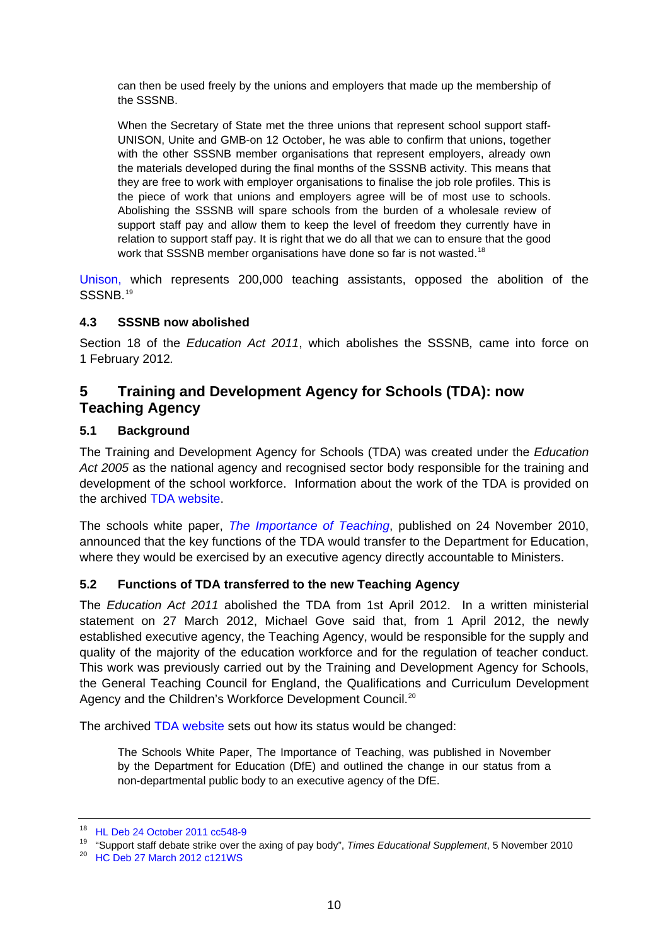<span id="page-9-0"></span>can then be used freely by the unions and employers that made up the membership of the SSSNB.

When the Secretary of State met the three unions that represent school support staff-UNISON, Unite and GMB-on 12 October, he was able to confirm that unions, together with the other SSSNB member organisations that represent employers, already own the materials developed during the final months of the SSSNB activity. This means that they are free to work with employer organisations to finalise the job role profiles. This is the piece of work that unions and employers agree will be of most use to schools. Abolishing the SSSNB will spare schools from the burden of a wholesale review of support staff pay and allow them to keep the level of freedom they currently have in relation to support staff pay. It is right that we do all that we can to ensure that the good work that SSSNB member organisations have done so far is not wasted.<sup>[18](#page-9-1)</sup>

[Unison,](http://www.unison.org.uk/education/schools/sssnb.asp) which represents 200,000 teaching assistants, opposed the abolition of the SSSNB.<sup>[19](#page-9-2)</sup>

### **4.3 SSSNB now abolished**

Section 18 of the *Education Act 2011*, which abolishes the SSSNB*,* came into force on 1 February 2012*.* 

### **5 Training and Development Agency for Schools (TDA): now Teaching Agency**

### **5.1 Background**

The Training and Development Agency for Schools (TDA) was created under the *Education*  Act 2005 as the national agency and recognised sector body responsible for the training and development of the school workforce. Information about the work of the TDA is provided on the archived [TDA website](http://webarchive.nationalarchives.gov.uk/20120203163341/http:/www.tda.gov.uk/).

The schools white paper, *[The Importance of Teaching](http://publications.education.gov.uk/eOrderingDownload/CM-7980.pdf)*, published on 24 November 2010, announced that the key functions of the TDA would transfer to the Department for Education, where they would be exercised by an executive agency directly accountable to Ministers.

#### **5.2 Functions of TDA transferred to the new Teaching Agency**

The *Education Act 2011* abolished the TDA from 1st April 2012. In a written ministerial statement on 27 March 2012, Michael Gove said that, from 1 April 2012, the newly established executive agency, the Teaching Agency, would be responsible for the supply and quality of the majority of the education workforce and for the regulation of teacher conduct. This work was previously carried out by the Training and Development Agency for Schools, the General Teaching Council for England, the Qualifications and Curriculum Development Agency and the Children's Workforce Development Council.<sup>[20](#page-9-3)</sup>

The archived [TDA website](http://webarchive.nationalarchives.gov.uk/20120203163341/http:/www.tda.gov.uk/about/transition/the-education-bill-and-the-tda.aspx) sets out how its status would be changed:

The Schools White Paper, The Importance of Teaching, was published in November by the Department for Education (DfE) and outlined the change in our status from a non-departmental public body to an executive agency of the DfE.

<span id="page-9-1"></span><sup>18</sup> [HL Deb 24 October 2011 cc548-9](http://www.publications.parliament.uk/pa/ld201011/ldhansrd/text/111024-0001.htm#1110248000055)

<span id="page-9-3"></span><span id="page-9-2"></span><sup>&</sup>lt;sup>19</sup> "Support staff debate strike over the axing of pay body", *Times Educational Supplement*, 5 November 2010<br><sup>20</sup> [HC Deb 27 March 2012 c121WS](http://www.publications.parliament.uk/pa/cm201212/cmhansrd/cm120327/wmstext/120327m0001.htm#12032750000033)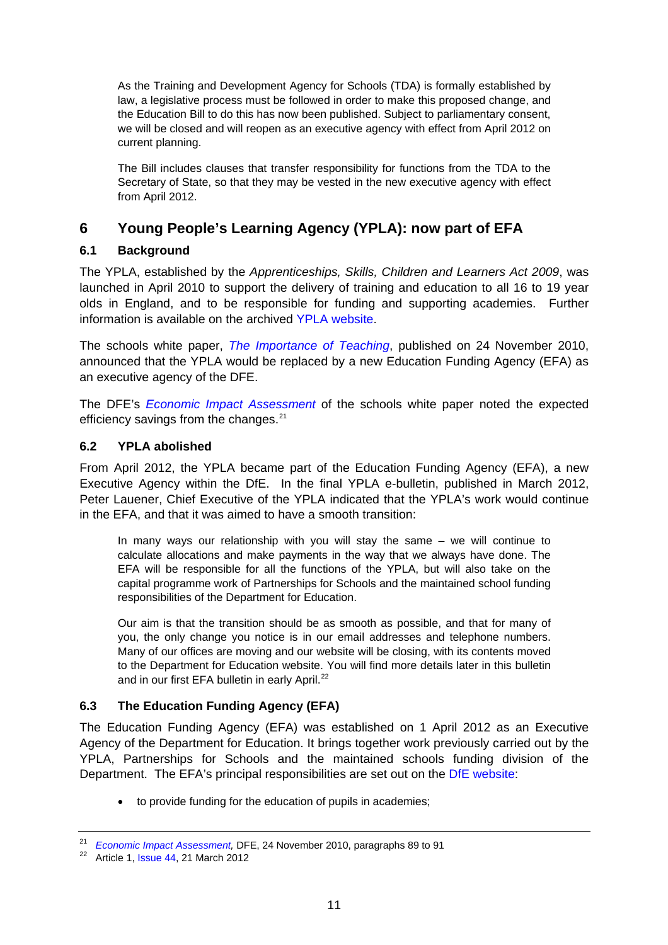<span id="page-10-0"></span>As the Training and Development Agency for Schools (TDA) is formally established by law, a legislative process must be followed in order to make this proposed change, and the Education Bill to do this has now been published. Subject to parliamentary consent, we will be closed and will reopen as an executive agency with effect from April 2012 on current planning.

The Bill includes clauses that transfer responsibility for functions from the TDA to the Secretary of State, so that they may be vested in the new executive agency with effect from April 2012.

# **6 Young People's Learning Agency (YPLA): now part of EFA**

### **6.1 Background**

The YPLA, established by the *Apprenticeships, Skills, Children and Learners Act 2009*, was launched in April 2010 to support the delivery of training and education to all 16 to 19 year olds in England, and to be responsible for funding and supporting academies. Further information is available on the archived [YPLA website.](http://webarchive.nationalarchives.gov.uk/20120319141232/http:/www.ypla.gov.uk)

The schools white paper, *[The Importance of Teaching](http://publications.education.gov.uk/eOrderingDownload/CM-7980.pdf)*, published on 24 November 2010, announced that the YPLA would be replaced by a new Education Funding Agency (EFA) as an executive agency of the DFE.

The DFE's *[Economic Impact Assessment](http://media.education.gov.uk/assets/files/pdf/e/economic%20impact%20assessment.pdf)* of the schools white paper noted the expected efficiency savings from the changes.<sup>[21](#page-10-1)</sup>

### **6.2 YPLA abolished**

From April 2012, the YPLA became part of the Education Funding Agency (EFA), a new Executive Agency within the DfE. In the final YPLA e-bulletin, published in March 2012, Peter Lauener, Chief Executive of the YPLA indicated that the YPLA's work would continue in the EFA, and that it was aimed to have a smooth transition:

In many ways our relationship with you will stay the same – we will continue to calculate allocations and make payments in the way that we always have done. The EFA will be responsible for all the functions of the YPLA, but will also take on the capital programme work of Partnerships for Schools and the maintained school funding responsibilities of the Department for Education.

Our aim is that the transition should be as smooth as possible, and that for many of you, the only change you notice is in our email addresses and telephone numbers. Many of our offices are moving and our website will be closing, with its contents moved to the Department for Education website. You will find more details later in this bulletin and in our first EFA bulletin in early April.<sup>[22](#page-10-2)</sup>

### **6.3 The Education Funding Agency (EFA)**

The Education Funding Agency (EFA) was established on 1 April 2012 as an Executive Agency of the Department for Education. It brings together work previously carried out by the YPLA, Partnerships for Schools and the maintained schools funding division of the Department. The EFA's principal responsibilities are set out on the [DfE website:](http://www.education.gov.uk/aboutdfe/armslengthbodies/b00199952/the-education-funding-agency)

• to provide funding for the education of pupils in academies;

<span id="page-10-2"></span><span id="page-10-1"></span><sup>&</sup>lt;sup>21</sup> Economic Impact Assessment, DFE, 24 November 2010, paragraphs 89 to 91<br><sup>22</sup> Article 1, [Issue 44,](http://webcache.googleusercontent.com/search?hl=en&q=cache:2AI2V4De_HAJ:http://readingroom.lsc.gov.uk/YPLA/ypla-e-bulletin_issue_44_21-03-2012-ne-mar12-v1.doc%2Bypla&gbv=2&gs_l=hp.3..0l4j0i10j0l5.2169.2808.0.4228.4.4.0.0.0.0.31.108.4.4.0...0.0.qrm1a95wb70&) 21 March 2012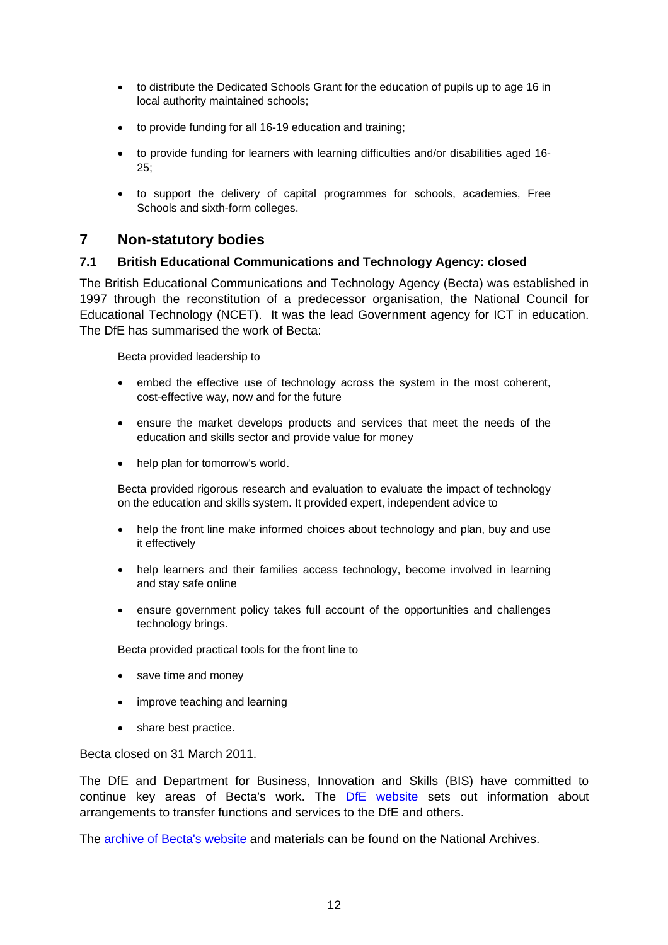- <span id="page-11-0"></span>• to distribute the Dedicated Schools Grant for the education of pupils up to age 16 in local authority maintained schools;
- to provide funding for all 16-19 education and training;
- to provide funding for learners with learning difficulties and/or disabilities aged 16- 25;
- to support the delivery of capital programmes for schools, academies, Free Schools and sixth-form colleges.

### **7 Non-statutory bodies**

#### **7.1 British Educational Communications and Technology Agency: closed**

The British Educational Communications and Technology Agency (Becta) was established in 1997 through the reconstitution of a predecessor organisation, the National Council for Educational Technology (NCET). It was the lead Government agency for ICT in education. The DfE has summarised the work of Becta:

Becta provided leadership to

- embed the effective use of technology across the system in the most coherent, cost-effective way, now and for the future
- ensure the market develops products and services that meet the needs of the education and skills sector and provide value for money
- help plan for tomorrow's world.

Becta provided rigorous research and evaluation to evaluate the impact of technology on the education and skills system. It provided expert, independent advice to

- help the front line make informed choices about technology and plan, buy and use it effectively
- help learners and their families access technology, become involved in learning and stay safe online
- ensure government policy takes full account of the opportunities and challenges technology brings.

Becta provided practical tools for the front line to

- save time and money
- improve teaching and learning
- share best practice.

Becta closed on 31 March 2011.

The DfE and Department for Business, Innovation and Skills (BIS) have committed to continue key areas of Becta's work. The [DfE website](http://www.education.gov.uk/aboutdfe/armslengthbodies/a00192537/becta) sets out information about arrangements to transfer functions and services to the DfE and others.

The [archive of Becta's website](http://webarchive.nationalarchives.gov.uk/20110130111510/http:/www.becta.org.uk) and materials can be found on the National Archives.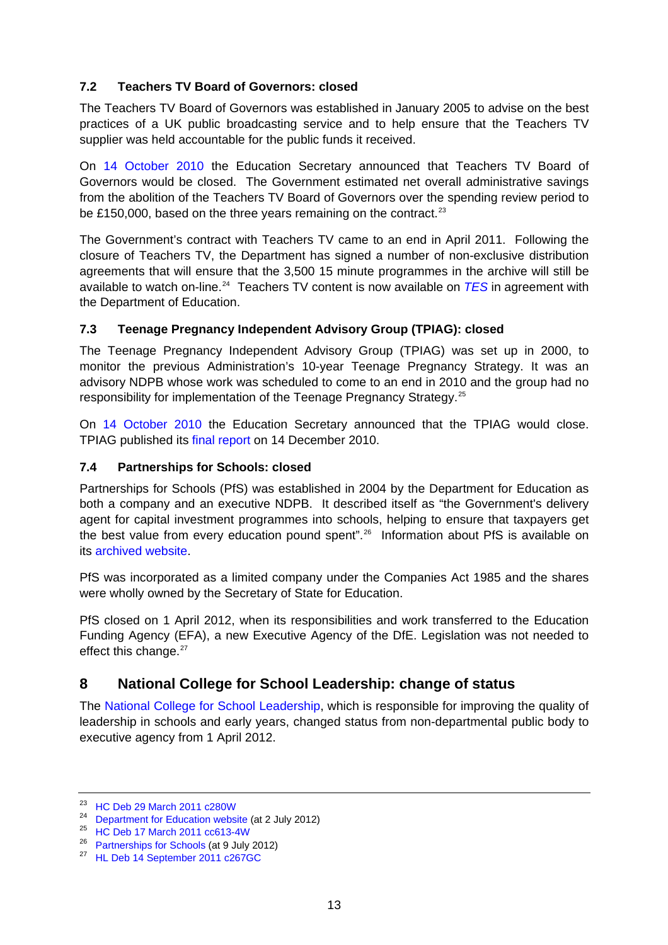### <span id="page-12-0"></span>**7.2 Teachers TV Board of Governors: closed**

The Teachers TV Board of Governors was established in January 2005 to advise on the best practices of a UK public broadcasting service and to help ensure that the Teachers TV supplier was held accountable for the public funds it received.

On [14 October 2010](http://www.education.gov.uk/inthenews/inthenews/a0065289/departments-plans-for-arms-length-bodies) the Education Secretary announced that Teachers TV Board of Governors would be closed. The Government estimated net overall administrative savings from the abolition of the Teachers TV Board of Governors over the spending review period to be £150,000, based on the three years remaining on the contract.<sup>[23](#page-12-1)</sup>

The Government's contract with Teachers TV came to an end in April 2011. Following the closure of Teachers TV, the Department has signed a number of non-exclusive distribution agreements that will ensure that the 3,500 15 minute programmes in the archive will still be available to watch on-line.[24](#page-12-2) Teachers TV content is now available on *[TES](http://www.tes.co.uk/MyPublicProfile.aspx?uc=447531&event=21)* in agreement with the Department of Education.

### **7.3 Teenage Pregnancy Independent Advisory Group (TPIAG): closed**

The Teenage Pregnancy Independent Advisory Group (TPIAG) was set up in 2000, to monitor the previous Administration's 10-year Teenage Pregnancy Strategy. It was an advisory NDPB whose work was scheduled to come to an end in 2010 and the group had no responsibility for implementation of the Teenage Pregnancy Strategy.<sup>[25](#page-12-3)</sup>

On [14 October 2010](http://www.education.gov.uk/inthenews/inthenews/a0065289/departments-plans-for-arms-length-bodies) the Education Secretary announced that the TPIAG would close. TPIAG published its [final report](http://www.pshe-association.org.uk/uploads/media/17/7462.pdf) on 14 December 2010.

#### **7.4 Partnerships for Schools: closed**

Partnerships for Schools (PfS) was established in 2004 by the Department for Education as both a company and an executive NDPB. It described itself as "the Government's delivery agent for capital investment programmes into schools, helping to ensure that taxpayers get the best value from every education pound spent".<sup>[26](#page-12-4)</sup> Information about PfS is available on its [archived website.](http://webarchive.nationalarchives.gov.uk/20120202141958/http:/www.partnershipsforschools.org.uk)

PfS was incorporated as a limited company under the Companies Act 1985 and the shares were wholly owned by the Secretary of State for Education.

PfS closed on 1 April 2012, when its responsibilities and work transferred to the Education Funding Agency (EFA), a new Executive Agency of the DfE. Legislation was not needed to effect this change.<sup>[27](#page-12-5)</sup>

### **8 National College for School Leadership: change of status**

The [National College for School Leadership](http://www.education.gov.uk/nationalcollege/), which is responsible for improving the quality of leadership in schools and early years, changed status from non-departmental public body to executive agency from 1 April 2012.

<span id="page-12-1"></span><sup>23</sup> [HC Deb 29 March 2011 c280W](http://www.publications.parliament.uk/pa/cm201011/cmhansrd/cm110329/text/110329w0004.htm#11032987001283)

<span id="page-12-2"></span><sup>&</sup>lt;sup>24</sup> [Department for Education website](http://www.education.gov.uk/schools/toolsandinitiatives/teacherstv/) (at 2 July 2012)<br><sup>25</sup> [HC Deb 17 March 2011 cc613-4W](http://www.publications.parliament.uk/pa/cm201011/cmhansrd/cm110317/text/110317w0005.htm#11031785000751)

<span id="page-12-5"></span><span id="page-12-4"></span><span id="page-12-3"></span><sup>&</sup>lt;sup>26</sup> [Partnerships for Schools](http://webarchive.nationalarchives.gov.uk/20120202141958/http:/www.partnershipsforschools.org.uk) (at 9 July 2012)<br><sup>27</sup> [HL Deb 14 September 2011 c267GC](http://www.publications.parliament.uk/pa/ld201011/ldhansrd/text/110914-gc0001.htm#11091513000169)